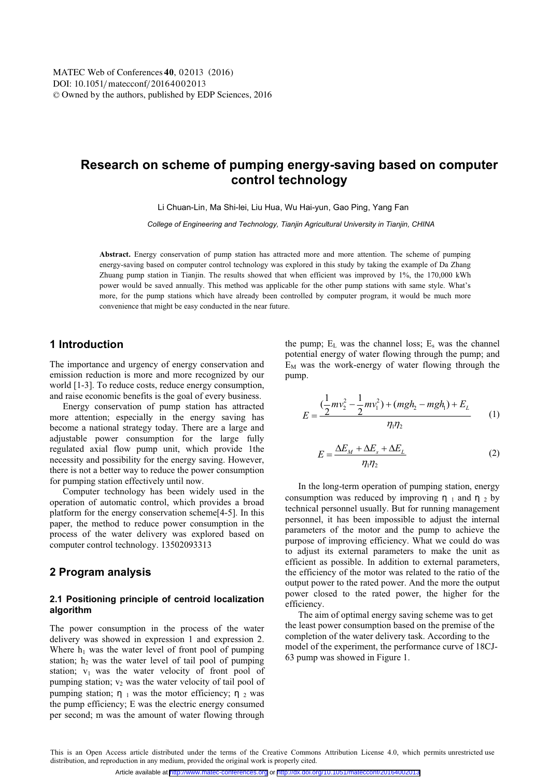# **Research on scheme of pumping energy-saving based on computer control technology**

Li Chuan-Lin, Ma Shi-lei, Liu Hua, Wu Hai-yun, Gao Ping, Yang Fan

*College of Engineering and Technology, Tianjin Agricultural University in Tianjin, CHINA* 

**Abstract.** Energy conservation of pump station has attracted more and more attention. The scheme of pumping energy-saving based on computer control technology was explored in this study by taking the example of Da Zhang Zhuang pump station in Tianjin. The results showed that when efficient was improved by 1%, the 170,000 kWh power would be saved annually. This method was applicable for the other pump stations with same style. What's more, for the pump stations which have already been controlled by computer program, it would be much more convenience that might be easy conducted in the near future.

# **1 Introduction**

The importance and urgency of energy conservation and emission reduction is more and more recognized by our world [1-3]. To reduce costs, reduce energy consumption, and raise economic benefits is the goal of every business.

Energy conservation of pump station has attracted more attention; especially in the energy saving has become a national strategy today. There are a large and adjustable power consumption for the large fully regulated axial flow pump unit, which provide 1the necessity and possibility for the energy saving. However, there is not a better way to reduce the power consumption for pumping station effectively until now.

Computer technology has been widely used in the operation of automatic control, which provides a broad platform for the energy conservation scheme[4-5]. In this paper, the method to reduce power consumption in the process of the water delivery was explored based on computer control technology. 13502093313

# **2 Program analysis**

### **2.1 Positioning principle of centroid localization algorithm**

The power consumption in the process of the water delivery was showed in expression 1 and expression 2. Where  $h_1$  was the water level of front pool of pumping station;  $h_2$  was the water level of tail pool of pumping station;  $v_1$  was the water velocity of front pool of pumping station;  $v_2$  was the water velocity of tail pool of pumping station; η 1 was the motor efficiency; η 2 was the pump efficiency; E was the electric energy consumed per second; m was the amount of water flowing through

the pump;  $E_L$  was the channel loss;  $E_s$  was the channel potential energy of water flowing through the pump; and  $E_M$  was the work-energy of water flowing through the pump.

$$
E = \frac{(\frac{1}{2}mv_2^2 - \frac{1}{2}mv_1^2) + (mgh_2 - mgh_1) + E_L}{\eta_1 \eta_2}
$$
 (1)

$$
E = \frac{\Delta E_M + \Delta E_s + \Delta E_L}{\eta_1 \eta_2} \tag{2}
$$

In the long-term operation of pumping station, energy consumption was reduced by improving  $\eta_1$  and  $\eta_2$  by technical personnel usually. But for running management personnel, it has been impossible to adjust the internal parameters of the motor and the pump to achieve the purpose of improving efficiency. What we could do was to adjust its external parameters to make the unit as efficient as possible. In addition to external parameters, the efficiency of the motor was related to the ratio of the output power to the rated power. And the more the output power closed to the rated power, the higher for the efficiency.

The aim of optimal energy saving scheme was to get the least power consumption based on the premise of the completion of the water delivery task. According to the model of the experiment, the performance curve of 18CJ-63 pump was showed in Figure 1.

This is an Open Access article distributed under the terms of the Creative Commons Attribution License 4.0, which permits unrestricted use distribution, and reproduction in any medium, provided the original work is properly cited.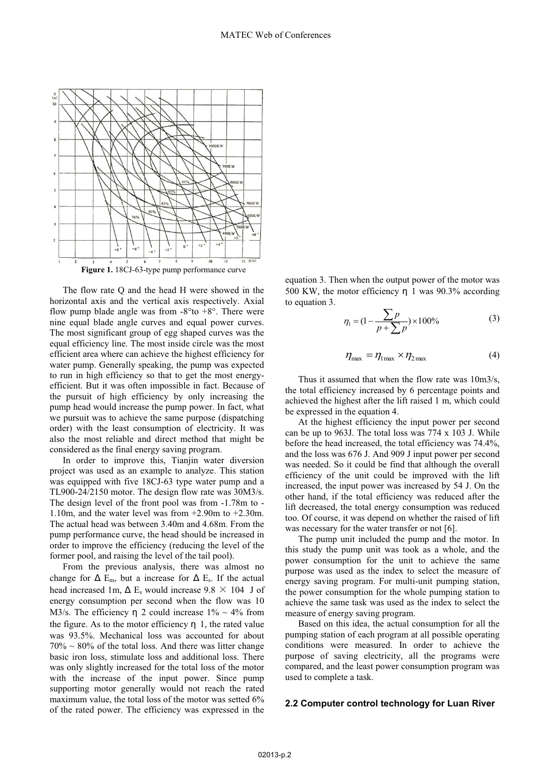

The flow rate Q and the head H were showed in the horizontal axis and the vertical axis respectively. Axial flow pump blade angle was from  $-8^{\circ}$  to  $+8^{\circ}$ . There were nine equal blade angle curves and equal power curves. The most significant group of egg shaped curves was the equal efficiency line. The most inside circle was the most efficient area where can achieve the highest efficiency for water pump. Generally speaking, the pump was expected to run in high efficiency so that to get the most energyefficient. But it was often impossible in fact. Because of the pursuit of high efficiency by only increasing the pump head would increase the pump power. In fact, what we pursuit was to achieve the same purpose (dispatching order) with the least consumption of electricity. It was also the most reliable and direct method that might be considered as the final energy saving program.

In order to improve this, Tianjin water diversion project was used as an example to analyze. This station was equipped with five 18CJ-63 type water pump and a TL900-24/2150 motor. The design flow rate was 30M3/s. The design level of the front pool was from -1.78m to - 1.10m, and the water level was from +2.90m to +2.30m. The actual head was between 3.40m and 4.68m. From the pump performance curve, the head should be increased in order to improve the efficiency (reducing the level of the former pool, and raising the level of the tail pool).

From the previous analysis, there was almost no change for  $\Delta$  E<sub>m</sub>, but a increase for  $\Delta$  E<sub>s</sub>. If the actual head increased 1m,  $\Delta$  E<sub>s</sub> would increase 9.8  $\times$  104 J of energy consumption per second when the flow was 10 M3/s. The efficiency n 2 could increase  $1\% \sim 4\%$  from the figure. As to the motor efficiency  $\eta$  1, the rated value was 93.5%. Mechanical loss was accounted for about  $70\% \sim 80\%$  of the total loss. And there was litter change basic iron loss, stimulate loss and additional loss. There was only slightly increased for the total loss of the motor with the increase of the input power. Since pump supporting motor generally would not reach the rated maximum value, the total loss of the motor was setted 6% of the rated power. The efficiency was expressed in the

equation 3. Then when the output power of the motor was 500 KW, the motor efficiency η 1 was 90.3% according to equation 3.

$$
\eta_1 = (1 - \frac{\sum p}{p + \sum p}) \times 100\%
$$
 (3)

$$
\eta_{\text{max}} = \eta_{1\text{max}} \times \eta_{2\text{max}} \tag{4}
$$

Thus it assumed that when the flow rate was 10m3/s, the total efficiency increased by 6 percentage points and achieved the highest after the lift raised 1 m, which could be expressed in the equation 4.

At the highest efficiency the input power per second can be up to 963J. The total loss was 774 x 103 J. While before the head increased, the total efficiency was 74.4%, and the loss was 676 J. And 909 J input power per second was needed. So it could be find that although the overall efficiency of the unit could be improved with the lift increased, the input power was increased by 54 J. On the other hand, if the total efficiency was reduced after the lift decreased, the total energy consumption was reduced too. Of course, it was depend on whether the raised of lift was necessary for the water transfer or not [6].

The pump unit included the pump and the motor. In this study the pump unit was took as a whole, and the power consumption for the unit to achieve the same purpose was used as the index to select the measure of energy saving program. For multi-unit pumping station, the power consumption for the whole pumping station to achieve the same task was used as the index to select the measure of energy saving program.

Based on this idea, the actual consumption for all the pumping station of each program at all possible operating conditions were measured. In order to achieve the purpose of saving electricity, all the programs were compared, and the least power consumption program was used to complete a task.

### **2.2 Computer control technology for Luan River**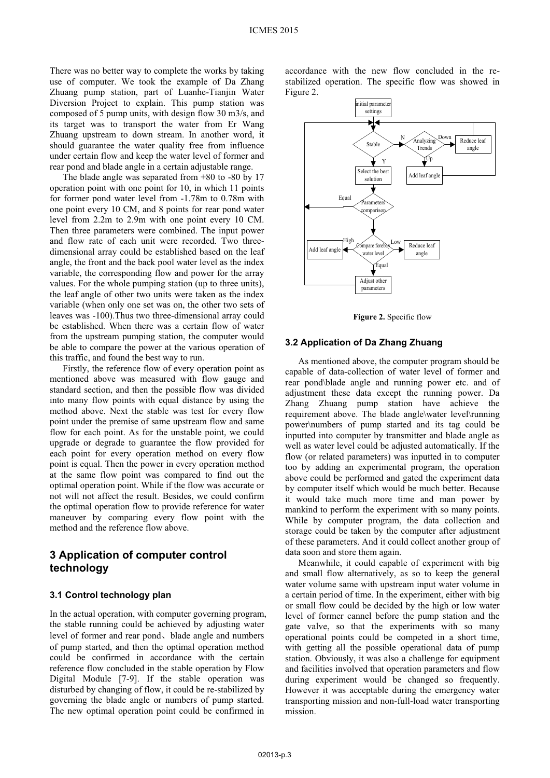There was no better way to complete the works by taking use of computer. We took the example of Da Zhang Zhuang pump station, part of Luanhe-Tianjin Water Diversion Project to explain. This pump station was composed of 5 pump units, with design flow 30 m3/s, and its target was to transport the water from Er Wang Zhuang upstream to down stream. In another word, it should guarantee the water quality free from influence under certain flow and keep the water level of former and rear pond and blade angle in a certain adjustable range.

The blade angle was separated from +80 to -80 by 17 operation point with one point for 10, in which 11 points for former pond water level from -1.78m to 0.78m with one point every 10 CM, and 8 points for rear pond water level from 2.2m to 2.9m with one point every 10 CM. Then three parameters were combined. The input power and flow rate of each unit were recorded. Two threedimensional array could be established based on the leaf angle, the front and the back pool water level as the index variable, the corresponding flow and power for the array values. For the whole pumping station (up to three units), the leaf angle of other two units were taken as the index variable (when only one set was on, the other two sets of leaves was -100).Thus two three-dimensional array could be established. When there was a certain flow of water from the upstream pumping station, the computer would be able to compare the power at the various operation of this traffic, and found the best way to run.

Firstly, the reference flow of every operation point as mentioned above was measured with flow gauge and standard section, and then the possible flow was divided into many flow points with equal distance by using the method above. Next the stable was test for every flow point under the premise of same upstream flow and same flow for each point. As for the unstable point, we could upgrade or degrade to guarantee the flow provided for each point for every operation method on every flow point is equal. Then the power in every operation method at the same flow point was compared to find out the optimal operation point. While if the flow was accurate or not will not affect the result. Besides, we could confirm the optimal operation flow to provide reference for water maneuver by comparing every flow point with the method and the reference flow above.

# **3 Application of computer control technology**

#### **3.1 Control technology plan**

In the actual operation, with computer governing program, the stable running could be achieved by adjusting water level of former and rear pond, blade angle and numbers of pump started, and then the optimal operation method could be confirmed in accordance with the certain reference flow concluded in the stable operation by Flow Digital Module [7-9]. If the stable operation was disturbed by changing of flow, it could be re-stabilized by governing the blade angle or numbers of pump started. The new optimal operation point could be confirmed in

accordance with the new flow concluded in the restabilized operation. The specific flow was showed in Figure 2.



**Figure 2.** Specific flow

#### **3.2 Application of Da Zhang Zhuang**

As mentioned above, the computer program should be capable of data-collection of water level of former and rear pond\blade angle and running power etc. and of adjustment these data except the running power. Da Zhang Zhuang pump station have achieve the requirement above. The blade angle\water level\running power\numbers of pump started and its tag could be inputted into computer by transmitter and blade angle as well as water level could be adjusted automatically. If the flow (or related parameters) was inputted in to computer too by adding an experimental program, the operation above could be performed and gated the experiment data by computer itself which would be much better. Because it would take much more time and man power by mankind to perform the experiment with so many points. While by computer program, the data collection and storage could be taken by the computer after adjustment of these parameters. And it could collect another group of data soon and store them again.

Meanwhile, it could capable of experiment with big and small flow alternatively, as so to keep the general water volume same with upstream input water volume in a certain period of time. In the experiment, either with big or small flow could be decided by the high or low water level of former cannel before the pump station and the gate valve, so that the experiments with so many operational points could be competed in a short time, with getting all the possible operational data of pump station. Obviously, it was also a challenge for equipment and facilities involved that operation parameters and flow during experiment would be changed so frequently. However it was acceptable during the emergency water transporting mission and non-full-load water transporting mission.